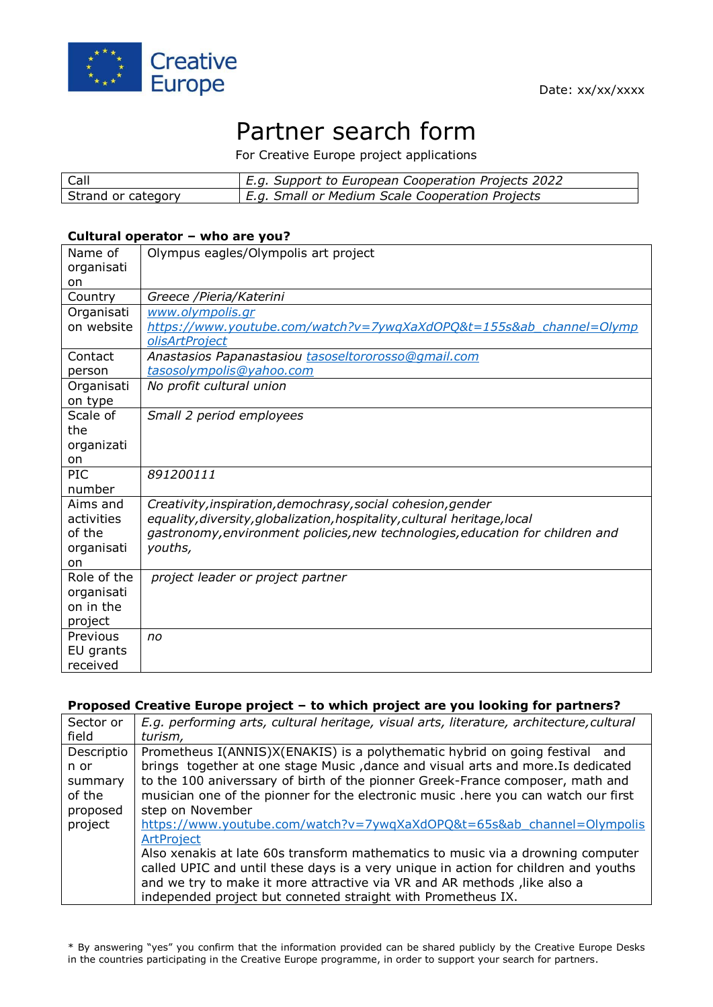

# Partner search form

For Creative Europe project applications

| Call               | E.g. Support to European Cooperation Projects 2022 |
|--------------------|----------------------------------------------------|
| Strand or category | E.g. Small or Medium Scale Cooperation Projects    |

#### **Cultural operator – who are you?**

| Name of<br>organisati<br>on | Olympus eagles/Olympolis art project                                           |
|-----------------------------|--------------------------------------------------------------------------------|
| Country                     | Greece /Pieria/Katerini                                                        |
| Organisati                  | www.olympolis.gr                                                               |
| on website                  | https://www.youtube.com/watch?v=7ywqXaXdOPQ&t=155s&ab channel=Olymp            |
|                             | olisArtProject                                                                 |
| Contact                     | Anastasios Papanastasiou tasoseltororosso@gmail.com                            |
| person                      | tasosolympolis@yahoo.com                                                       |
| Organisati<br>on type       | No profit cultural union                                                       |
| Scale of                    | Small 2 period employees                                                       |
| the                         |                                                                                |
| organizati                  |                                                                                |
| on                          |                                                                                |
| PIC                         | 891200111                                                                      |
| number                      |                                                                                |
| Aims and                    | Creativity, inspiration, demochrasy, social cohesion, gender                   |
| activities                  | equality, diversity, globalization, hospitality, cultural heritage, local      |
| of the                      | gastronomy, environment policies, new technologies, education for children and |
| organisati                  | youths,                                                                        |
| on<br>Role of the           |                                                                                |
| organisati                  | project leader or project partner                                              |
| on in the                   |                                                                                |
| project                     |                                                                                |
| Previous                    | no                                                                             |
| EU grants                   |                                                                                |
| received                    |                                                                                |

#### **Proposed Creative Europe project – to which project are you looking for partners?**

| Sector or  | E.g. performing arts, cultural heritage, visual arts, literature, architecture, cultural |
|------------|------------------------------------------------------------------------------------------|
| field      | turism,                                                                                  |
| Descriptio | Prometheus I(ANNIS)X(ENAKIS) is a polythematic hybrid on going festival and              |
| n or       | brings together at one stage Music, dance and visual arts and more. Is dedicated         |
| summary    | to the 100 aniverssary of birth of the pionner Greek-France composer, math and           |
| of the     | musician one of the pionner for the electronic music .here you can watch our first       |
| proposed   | step on November                                                                         |
| project    | https://www.youtube.com/watch?v=7ywqXaXdOPQ&t=65s&ab channel=Olympolis                   |
|            | ArtProject                                                                               |
|            | Also xenakis at late 60s transform mathematics to music via a drowning computer          |
|            | called UPIC and until these days is a very unique in action for children and youths      |
|            | and we try to make it more attractive via VR and AR methods, like also a                 |
|            | independed project but conneted straight with Prometheus IX.                             |